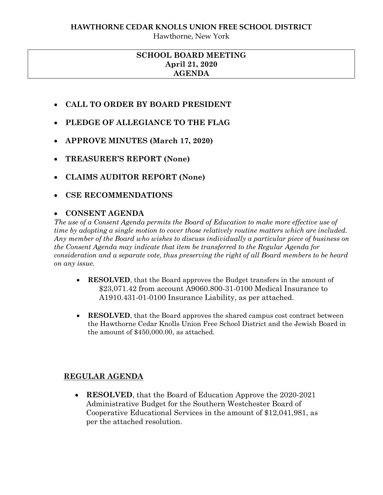### **HAWTHORNE CEDAR KNOLLS UNION FREE SCHOOL DISTRICT**

Hawthorne, New York

# **SCHOOL BOARD MEETING April 21, 2020 AGENDA**

- **CALL TO ORDER BY BOARD PRESIDENT**
- **PLEDGE OF ALLEGIANCE TO THE FLAG**
- **APPROVE MINUTES (March 17, 2020)**
- **TREASURER'S REPORT (None)**
- **CLAIMS AUDITOR REPORT (None)**
- **CSE RECOMMENDATIONS**

# **CONSENT AGENDA**

*The use of a Consent Agenda permits the Board of Education to make more effective use of time by adopting a single motion to cover those relatively routine matters which are included. Any member of the Board who wishes to discuss individually a particular piece of business on the Consent Agenda may indicate that item be transferred to the Regular Agenda for consideration and a separate vote, thus preserving the right of all Board members to be heard on any issue.* 

- **RESOLVED**, that the Board approves the Budget transfers in the amount of \$23,071.42 from account A9060.800-31-0100 Medical Insurance to A1910.431-01-0100 Insurance Liability, as per attached.
- **RESOLVED**, that the Board approves the shared campus cost contract between the Hawthorne Cedar Knolls Union Free School District and the Jewish Board in the amount of \$450,000.00, as attached.

# **REGULAR AGENDA**

 **RESOLVED**, that the Board of Education Approve the 2020-2021 Administrative Budget for the Southern Westchester Board of Cooperative Educational Services in the amount of \$12,041,981, as per the attached resolution.